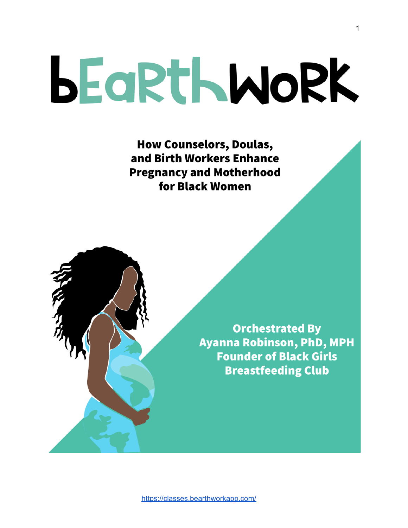# **BEGRTHWORK**

**How Counselors, Doulas,** and Birth Workers Enhance **Pregnancy and Motherhood** for Black Women

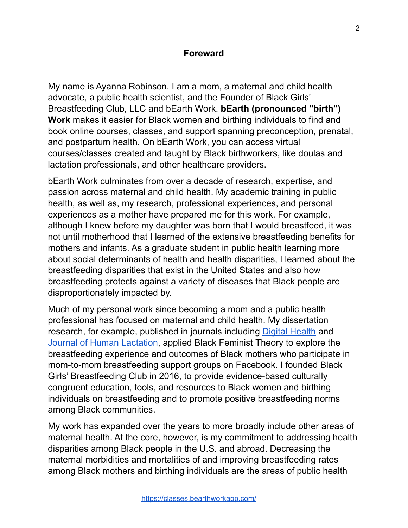#### **Foreward**

My name is Ayanna Robinson. I am a mom, a maternal and child health advocate, a public health scientist, and the Founder of Black Girls' Breastfeeding Club, LLC and bEarth Work. **bEarth (pronounced "birth") Work** makes it easier for Black women and birthing individuals to find and book online courses, classes, and support spanning preconception, prenatal, and postpartum health. On bEarth Work, you can access virtual courses/classes created and taught by Black birthworkers, like doulas and lactation professionals, and other healthcare providers.

bEarth Work culminates from over a decade of research, expertise, and passion across maternal and child health. My academic training in public health, as well as, my research, professional experiences, and personal experiences as a mother have prepared me for this work. For example, although I knew before my daughter was born that I would breastfeed, it was not until motherhood that I learned of the extensive breastfeeding benefits for mothers and infants. As a graduate student in public health learning more about social determinants of health and health disparities, I learned about the breastfeeding disparities that exist in the United States and also how breastfeeding protects against a variety of diseases that Black people are disproportionately impacted by.

Much of my personal work since becoming a mom and a public health professional has focused on maternal and child health. My dissertation research, for example, published in journals including [Digital Health](https://journals.sagepub.com/doi/full/10.1177/2055207619853397) and [Journal of Human Lactation](https://journals.sagepub.com/doi/full/10.1177/0890334419831652), applied Black Feminist Theory to explore the breastfeeding experience and outcomes of Black mothers who participate in mom-to-mom breastfeeding support groups on Facebook. I founded Black Girls' Breastfeeding Club in 2016, to provide evidence-based culturally congruent education, tools, and resources to Black women and birthing individuals on breastfeeding and to promote positive breastfeeding norms among Black communities.

My work has expanded over the years to more broadly include other areas of maternal health. At the core, however, is my commitment to addressing health disparities among Black people in the U.S. and abroad. Decreasing the maternal morbidities and mortalities of and improving breastfeeding rates among Black mothers and birthing individuals are the areas of public health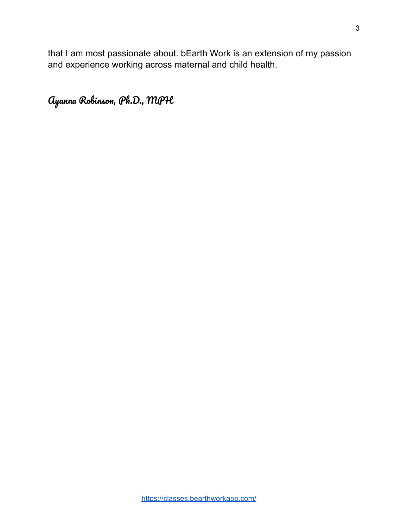that I am most passionate about. bEarth Work is an extension of my passion and experience working across maternal and child health.

Ayanna Robinson, Ph.D., MPH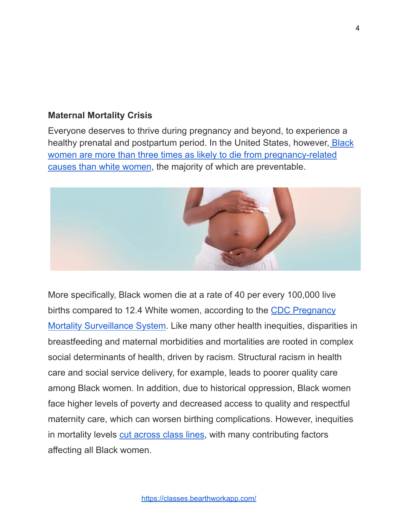### **Maternal Mortality Crisis**

Everyone deserves to thrive during pregnancy and beyond, to experience a healthy prenatal and postpartum period. In the United States, however, [Black](https://www.cdc.gov/healthequity/features/maternal-mortality/) [women are more than three times as likely to die from pregnancy-related](https://www.cdc.gov/healthequity/features/maternal-mortality/) [causes than white women](https://www.cdc.gov/healthequity/features/maternal-mortality/), the majority of which are preventable.



More specifically, Black women die at a rate of 40 per every 100,000 live births compared to 12.4 White women, according to the [CDC Pregnancy](http://www.cdc.gov/reproductivehealth/maternalinfanthealth/pregnancy-mortality-surveillance-system.htm) [Mortality Surveillance System](http://www.cdc.gov/reproductivehealth/maternalinfanthealth/pregnancy-mortality-surveillance-system.htm). Like many other health inequities, disparities in breastfeeding and maternal morbidities and mortalities are rooted in complex social determinants of health, driven by racism. Structural racism in health care and social service delivery, for example, leads to poorer quality care among Black women. In addition, due to historical oppression, Black women face higher levels of poverty and decreased access to quality and respectful maternity care, which can worsen birthing complications. However, inequities in mortality levels [cut across class lines,](http://www1.nyc.gov/assets/doh/downloads/pdf/data/maternal-morbidity-report-08-12.pdf) with many contributing factors affecting all Black women.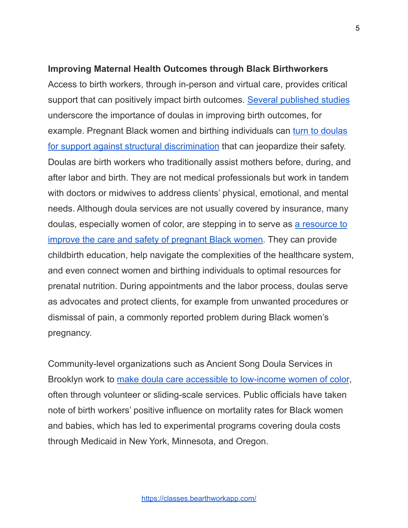#### **Improving Maternal Health Outcomes through Black Birthworkers**

Access to birth workers, through in-person and virtual care, provides critical support that can positively impact birth outcomes. [Several published studies](https://www.ncbi.nlm.nih.gov/pmc/articles/PMC6483123/) underscore the importance of doulas in improving birth outcomes, for example. Pregnant Black women and birthing individuals can [turn to doulas](http://tonic.vice.com/en_us/article/evqa4e/doulas-making-pregnancy-safer-for-women-of-color) [for support against structural discrimination](http://tonic.vice.com/en_us/article/evqa4e/doulas-making-pregnancy-safer-for-women-of-color) that can jeopardize their safety. Doulas are birth workers who traditionally assist mothers before, during, and after labor and birth. They are not medical professionals but work in tandem with doctors or midwives to address clients' physical, emotional, and mental needs. Although doula services are not usually covered by insurance, many doulas, especially women of color, are stepping in to serve as [a resource to](http://www.latimes.com/nation/la-na-global-black-midwives-20171026-story.html) [improve the care and safety of pregnant Black women.](http://www.latimes.com/nation/la-na-global-black-midwives-20171026-story.html) They can provide childbirth education, help navigate the complexities of the healthcare system, and even connect women and birthing individuals to optimal resources for prenatal nutrition. During appointments and the labor process, doulas serve as advocates and protect clients, for example from unwanted procedures or dismissal of pain, a commonly reported problem during Black women's pregnancy.

Community-level organizations such as Ancient Song Doula Services in Brooklyn work to [make doula care accessible to low-income](http://www.thecut.com/2018/08/what-its-like-to-be-a-doula-for-women-of-color.html) women of color, often through volunteer or sliding-scale services. Public officials have taken note of birth workers' positive influence on mortality rates for Black women and babies, which has led to experimental programs covering doula costs through Medicaid in New York, Minnesota, and Oregon.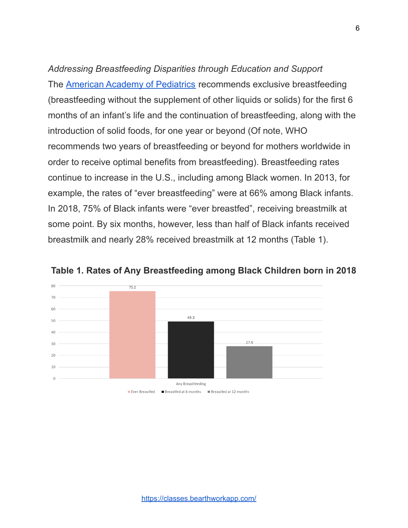*Addressing Breastfeeding Disparities through Education and Support* The [American Academy of Pediatrics](https://publications.aap.org/pediatrics/article/129/3/e827/31785/Breastfeeding-and-the-Use-of-Human-Milk) recommends exclusive breastfeeding (breastfeeding without the supplement of other liquids or solids) for the first 6 months of an infant's life and the continuation of breastfeeding, along with the introduction of solid foods, for one year or beyond (Of note, WHO recommends two years of breastfeeding or beyond for mothers worldwide in order to receive optimal benefits from breastfeeding). Breastfeeding rates continue to increase in the U.S., including among Black women. In 2013, for example, the rates of "ever breastfeeding" were at 66% among Black infants. In 2018, 75% of Black infants were "ever breastfed", receiving breastmilk at some point. By six months, however, less than half of Black infants received breastmilk and nearly 28% received breastmilk at 12 months (Table 1).



**Table 1. Rates of Any Breastfeeding among Black Children born in 2018**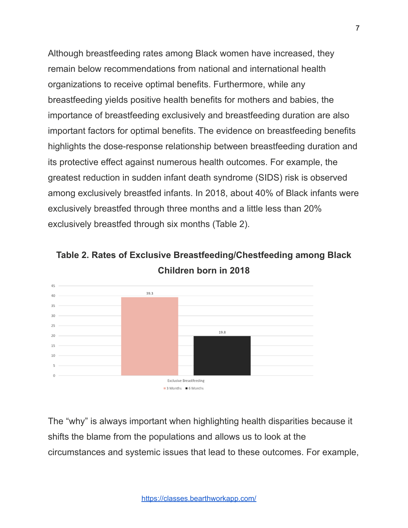Although breastfeeding rates among Black women have increased, they remain below recommendations from national and international health organizations to receive optimal benefits. Furthermore, while any breastfeeding yields positive health benefits for mothers and babies, the importance of breastfeeding exclusively and breastfeeding duration are also important factors for optimal benefits. The evidence on breastfeeding benefits highlights the dose-response relationship between breastfeeding duration and its protective effect against numerous health outcomes. For example, the greatest reduction in sudden infant death syndrome (SIDS) risk is observed among exclusively breastfed infants. In 2018, about 40% of Black infants were exclusively breastfed through three months and a little less than 20% exclusively breastfed through six months (Table 2).

**Table 2. Rates of Exclusive Breastfeeding/Chestfeeding among Black Children born in 2018**



The "why" is always important when highlighting health disparities because it shifts the blame from the populations and allows us to look at the circumstances and systemic issues that lead to these outcomes. For example,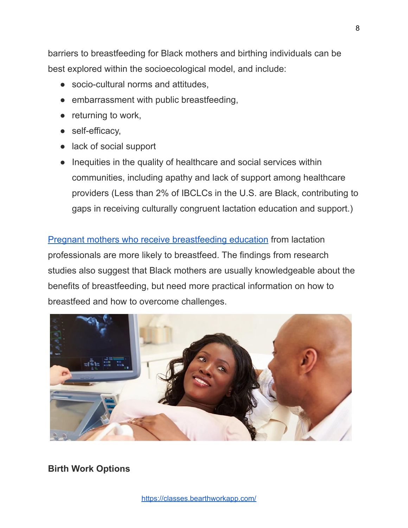barriers to breastfeeding for Black mothers and birthing individuals can be best explored within the socioecological model, and include:

- socio-cultural norms and attitudes,
- embarrassment with public breastfeeding,
- returning to work,
- self-efficacy,
- lack of social support
- Inequities in the quality of healthcare and social services within communities, including apathy and lack of support among healthcare providers (Less than 2% of IBCLCs in the U.S. are Black, contributing to gaps in receiving culturally congruent lactation education and support.)

[Pregnant mothers who receive breastfeeding education](https://www.cdc.gov/breastfeeding/pdf/bf-guide-508.pdf) from lactation professionals are more likely to breastfeed. The findings from research studies also suggest that Black mothers are usually knowledgeable about the benefits of breastfeeding, but need more practical information on how to breastfeed and how to overcome challenges.



**Birth Work Options**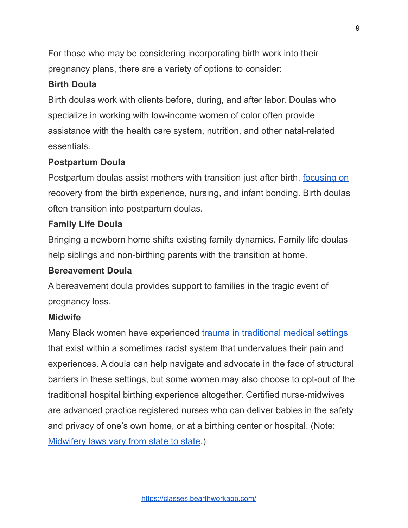For those who may be considering incorporating birth work into their pregnancy plans, there are a variety of options to consider:

# **Birth Doula**

Birth doulas work with clients before, during, and after labor. Doulas who specialize in working with low-income women of color often provide assistance with the health care system, nutrition, and other natal-related essentials.

# **Postpartum Doula**

Postpartum doulas assist mothers with transition just after birth, [focusing on](http://americanpregnancy.org/planning/post-partum-doula/) recovery from the birth experience, nursing, and infant bonding. Birth doulas often transition into postpartum doulas.

#### **Family Life Doula**

Bringing a newborn home shifts existing family dynamics. Family life doulas help siblings and non-birthing parents with the transition at home.

#### **Bereavement Doula**

A bereavement doula provides support to families in the tragic event of pregnancy loss.

#### **Midwife**

Many Black women have experienced [trauma in traditional](http://www.kzoo.edu/praxis/doulas/) medical settings that exist within a sometimes racist system that undervalues their pain and experiences. A doula can help navigate and advocate in the face of structural barriers in these settings, but some women may also choose to opt-out of the traditional hospital birthing experience altogether. Certified nurse-midwives are advanced practice registered nurses who can deliver babies in the safety and privacy of one's own home, or at a birthing center or hospital. (Note: [Midwifery laws vary from state to state.](http://mana.org/about-midwives/state-by-state))